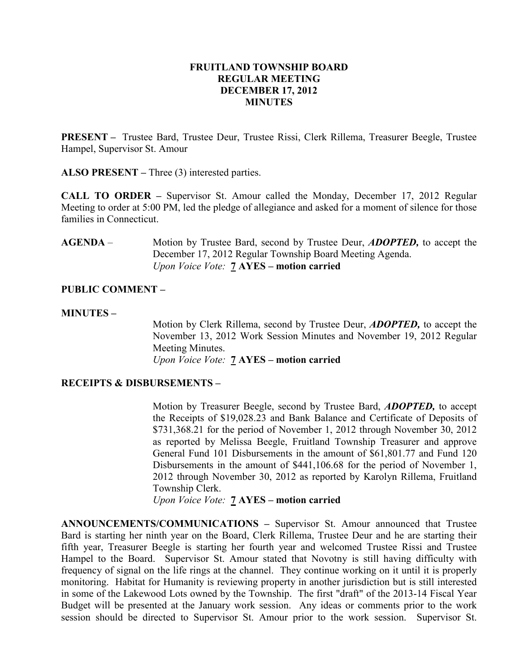# FRUITLAND TOWNSHIP BOARD REGULAR MEETING DECEMBER 17, 2012 MINUTES

PRESENT – Trustee Bard, Trustee Deur, Trustee Rissi, Clerk Rillema, Treasurer Beegle, Trustee Hampel, Supervisor St. Amour

ALSO PRESENT – Three (3) interested parties.

CALL TO ORDER – Supervisor St. Amour called the Monday, December 17, 2012 Regular Meeting to order at 5:00 PM, led the pledge of allegiance and asked for a moment of silence for those families in Connecticut.

AGENDA – Motion by Trustee Bard, second by Trustee Deur, *ADOPTED*, to accept the December 17, 2012 Regular Township Board Meeting Agenda. Upon Voice Vote: **7 AYES** – motion carried

# PUBLIC COMMENT –

# MINUTES –

Motion by Clerk Rillema, second by Trustee Deur, ADOPTED, to accept the November 13, 2012 Work Session Minutes and November 19, 2012 Regular Meeting Minutes. Upon Voice Vote: 7 AYES – motion carried

# RECEIPTS & DISBURSEMENTS –

Motion by Treasurer Beegle, second by Trustee Bard, ADOPTED, to accept the Receipts of \$19,028.23 and Bank Balance and Certificate of Deposits of \$731,368.21 for the period of November 1, 2012 through November 30, 2012 as reported by Melissa Beegle, Fruitland Township Treasurer and approve General Fund 101 Disbursements in the amount of \$61,801.77 and Fund 120 Disbursements in the amount of \$441,106.68 for the period of November 1, 2012 through November 30, 2012 as reported by Karolyn Rillema, Fruitland Township Clerk.

Upon Voice Vote: 7 AYES – motion carried

ANNOUNCEMENTS/COMMUNICATIONS – Supervisor St. Amour announced that Trustee Bard is starting her ninth year on the Board, Clerk Rillema, Trustee Deur and he are starting their fifth year, Treasurer Beegle is starting her fourth year and welcomed Trustee Rissi and Trustee Hampel to the Board. Supervisor St. Amour stated that Novotny is still having difficulty with frequency of signal on the life rings at the channel. They continue working on it until it is properly monitoring. Habitat for Humanity is reviewing property in another jurisdiction but is still interested in some of the Lakewood Lots owned by the Township. The first "draft" of the 2013-14 Fiscal Year Budget will be presented at the January work session. Any ideas or comments prior to the work session should be directed to Supervisor St. Amour prior to the work session. Supervisor St.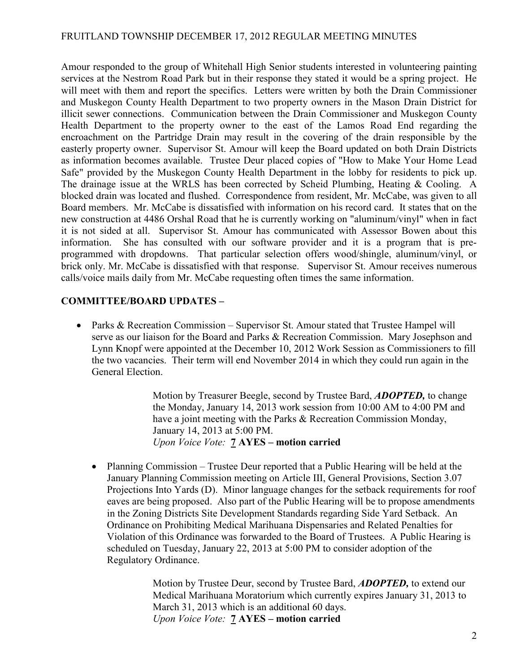Amour responded to the group of Whitehall High Senior students interested in volunteering painting services at the Nestrom Road Park but in their response they stated it would be a spring project. He will meet with them and report the specifics. Letters were written by both the Drain Commissioner and Muskegon County Health Department to two property owners in the Mason Drain District for illicit sewer connections. Communication between the Drain Commissioner and Muskegon County Health Department to the property owner to the east of the Lamos Road End regarding the encroachment on the Partridge Drain may result in the covering of the drain responsible by the easterly property owner. Supervisor St. Amour will keep the Board updated on both Drain Districts as information becomes available. Trustee Deur placed copies of "How to Make Your Home Lead Safe" provided by the Muskegon County Health Department in the lobby for residents to pick up. The drainage issue at the WRLS has been corrected by Scheid Plumbing, Heating & Cooling. A blocked drain was located and flushed. Correspondence from resident, Mr. McCabe, was given to all Board members. Mr. McCabe is dissatisfied with information on his record card. It states that on the new construction at 4486 Orshal Road that he is currently working on "aluminum/vinyl" when in fact it is not sided at all. Supervisor St. Amour has communicated with Assessor Bowen about this information. She has consulted with our software provider and it is a program that is preprogrammed with dropdowns. That particular selection offers wood/shingle, aluminum/vinyl, or brick only. Mr. McCabe is dissatisfied with that response. Supervisor St. Amour receives numerous calls/voice mails daily from Mr. McCabe requesting often times the same information.

# COMMITTEE/BOARD UPDATES –

• Parks & Recreation Commission – Supervisor St. Amour stated that Trustee Hampel will serve as our liaison for the Board and Parks & Recreation Commission. Mary Josephson and Lynn Knopf were appointed at the December 10, 2012 Work Session as Commissioners to fill the two vacancies. Their term will end November 2014 in which they could run again in the General Election.

> Motion by Treasurer Beegle, second by Trustee Bard, **ADOPTED**, to change the Monday, January 14, 2013 work session from 10:00 AM to 4:00 PM and have a joint meeting with the Parks & Recreation Commission Monday, January 14, 2013 at 5:00 PM. Upon Voice Vote: 7 AYES – motion carried

• Planning Commission – Trustee Deur reported that a Public Hearing will be held at the January Planning Commission meeting on Article III, General Provisions, Section 3.07 Projections Into Yards (D). Minor language changes for the setback requirements for roof eaves are being proposed. Also part of the Public Hearing will be to propose amendments in the Zoning Districts Site Development Standards regarding Side Yard Setback. An Ordinance on Prohibiting Medical Marihuana Dispensaries and Related Penalties for Violation of this Ordinance was forwarded to the Board of Trustees. A Public Hearing is scheduled on Tuesday, January 22, 2013 at 5:00 PM to consider adoption of the Regulatory Ordinance.

> Motion by Trustee Deur, second by Trustee Bard, **ADOPTED**, to extend our Medical Marihuana Moratorium which currently expires January 31, 2013 to March 31, 2013 which is an additional 60 days. Upon Voice Vote: 7 AYES – motion carried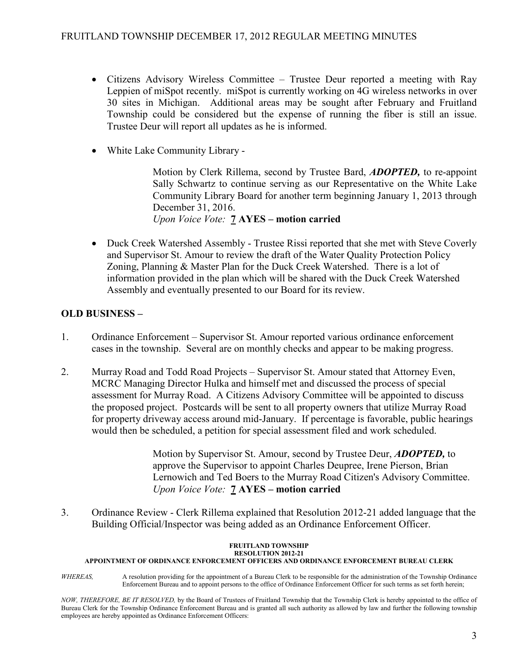- Citizens Advisory Wireless Committee Trustee Deur reported a meeting with Ray Leppien of miSpot recently. miSpot is currently working on 4G wireless networks in over 30 sites in Michigan. Additional areas may be sought after February and Fruitland Township could be considered but the expense of running the fiber is still an issue. Trustee Deur will report all updates as he is informed.
- White Lake Community Library -

Motion by Clerk Rillema, second by Trustee Bard, ADOPTED, to re-appoint Sally Schwartz to continue serving as our Representative on the White Lake Community Library Board for another term beginning January 1, 2013 through December 31, 2016. Upon Voice Vote: 7 AYES – motion carried

• Duck Creek Watershed Assembly - Trustee Rissi reported that she met with Steve Coverly and Supervisor St. Amour to review the draft of the Water Quality Protection Policy Zoning, Planning & Master Plan for the Duck Creek Watershed. There is a lot of information provided in the plan which will be shared with the Duck Creek Watershed Assembly and eventually presented to our Board for its review.

# OLD BUSINESS –

- 1. Ordinance Enforcement Supervisor St. Amour reported various ordinance enforcement cases in the township. Several are on monthly checks and appear to be making progress.
- 2. Murray Road and Todd Road Projects Supervisor St. Amour stated that Attorney Even, MCRC Managing Director Hulka and himself met and discussed the process of special assessment for Murray Road. A Citizens Advisory Committee will be appointed to discuss the proposed project. Postcards will be sent to all property owners that utilize Murray Road for property driveway access around mid-January. If percentage is favorable, public hearings would then be scheduled, a petition for special assessment filed and work scheduled.

Motion by Supervisor St. Amour, second by Trustee Deur, **ADOPTED**, to approve the Supervisor to appoint Charles Deupree, Irene Pierson, Brian Lernowich and Ted Boers to the Murray Road Citizen's Advisory Committee. Upon Voice Vote: **7 AYES** – motion carried

3. Ordinance Review - Clerk Rillema explained that Resolution 2012-21 added language that the Building Official/Inspector was being added as an Ordinance Enforcement Officer.

#### FRUITLAND TOWNSHIP RESOLUTION 2012-21

#### APPOINTMENT OF ORDINANCE ENFORCEMENT OFFICERS AND ORDINANCE ENFORCEMENT BUREAU CLERK

WHEREAS, A resolution providing for the appointment of a Bureau Clerk to be responsible for the administration of the Township Ordinance Enforcement Bureau and to appoint persons to the office of Ordinance Enforcement Officer for such terms as set forth herein;

NOW, THEREFORE, BE IT RESOLVED, by the Board of Trustees of Fruitland Township that the Township Clerk is hereby appointed to the office of Bureau Clerk for the Township Ordinance Enforcement Bureau and is granted all such authority as allowed by law and further the following township employees are hereby appointed as Ordinance Enforcement Officers: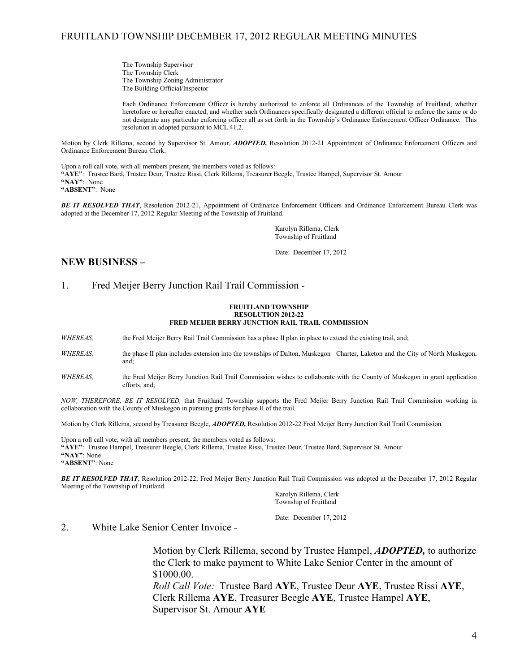The Township Supervisor The Township Clerk The Township Zoning Administrator The Building Official/Inspector

Each Ordinance Enforcement Officer is hereby authorized to enforce all Ordinances of the Township of Fruitland, whether heretofore or hereafter enacted, and whether such Ordinances specifically designated a different official to enforce the same or do not designate any particular enforcing officer all as set forth in the Township's Ordinance Enforcement Officer Ordinance. This resolution in adopted pursuant to MCL 41.2.

Motion by Clerk Rillema, second by Supervisor St. Amour, ADOPTED, Resolution 2012-21 Appointment of Ordinance Enforcement Officers and Ordinance Enforcement Bureau Clerk.

Upon a roll call vote, with all members present, the members voted as follows: "AYE": Trustee Bard, Trustee Deur, Trustee Rissi, Clerk Rillema, Treasurer Beegle, Trustee Hampel, Supervisor St. Amour "NAY": None

"ABSENT": None

BE IT RESOLVED THAT, Resolution 2012-21, Appointment of Ordinance Enforcement Officers and Ordinance Enforcement Bureau Clerk was adopted at the December 17, 2012 Regular Meeting of the Township of Fruitland.

> Karolyn Rillema, Clerk Township of Fruitland

Date: December 17, 2012

### NEW BUSINESS –

### 1. Fred Meijer Berry Junction Rail Trail Commission -

#### FRUITLAND TOWNSHIP RESOLUTION 2012-22 FRED MEIJER BERRY JUNCTION RAIL TRAIL COMMISSION

WHEREAS, the Fred Meijer Berry Rail Trail Commission has a phase II plan in place to extend the existing trail, and;

- WHEREAS, the phase II plan includes extension into the townships of Dalton, Muskegon Charter, Laketon and the City of North Muskegon, and;
- WHEREAS, the Fred Meijer Berry Junction Rail Trail Commission wishes to collaborate with the County of Muskegon in grant application efforts, and;

NOW, THEREFORE, BE IT RESOLVED, that Fruitland Township supports the Fred Meijer Berry Junction Rail Trail Commission working in collaboration with the County of Muskegon in pursuing grants for phase II of the trail.

Motion by Clerk Rillema, second by Treasurer Beegle, ADOPTED, Resolution 2012-22 Fred Meijer Berry Junction Rail Trail Commission.

Upon a roll call vote, with all members present, the members voted as follows: "AYE": Trustee Hampel, Treasurer Beegle, Clerk Rillema, Trustee Rissi, Trustee Deur, Trustee Bard, Supervisor St. Amour "NAY": None "ABSENT": None

BE IT RESOLVED THAT, Resolution 2012-22, Fred Meijer Berry Junction Rail Trail Commission was adopted at the December 17, 2012 Regular Meeting of the Township of Fruitland.

 Karolyn Rillema, Clerk Township of Fruitland

Date: December 17, 2012

2. White Lake Senior Center Invoice -

 Motion by Clerk Rillema, second by Trustee Hampel, ADOPTED, to authorize the Clerk to make payment to White Lake Senior Center in the amount of \$1000.00.

Roll Call Vote: Trustee Bard AYE, Trustee Deur AYE, Trustee Rissi AYE, Clerk Rillema AYE, Treasurer Beegle AYE, Trustee Hampel AYE, Supervisor St. Amour AYE